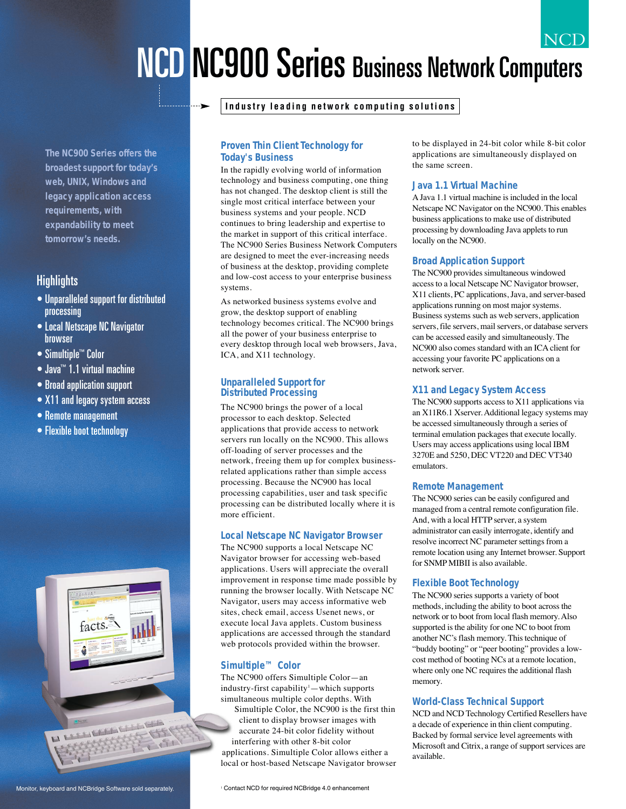## NCD NCD NC900 Series Business Network Computers

**The NC900 Series offers the broadest support for today's web, UNIX, Windows and legacy application access requirements, with expandability to meet tomorrow's needs.**

## **Highlights**

- Unparalleled support for distributed processing
- Local Netscape NC Navigator browser
- Simultiple™ Color
- Java™ 1.1 virtual machine
- Broad application support
- X11 and legacy system access
- Remote management
- Flexible boot technology



### **Proven Thin Client Technology for Today's Business**

In the rapidly evolving world of information technology and business computing, one thing has not changed. The desktop client is still the single most critical interface between your business systems and your people. NCD continues to bring leadership and expertise to the market in support of this critical interface. The NC900 Series Business Network Computers are designed to meet the ever-increasing needs of business at the desktop, providing complete and low-cost access to your enterprise business systems.

As networked business systems evolve and grow, the desktop support of enabling technology becomes critical. The NC900 brings all the power of your business enterprise to every desktop through local web browsers, Java, ICA, and X11 technology.

#### **Unparalleled Support for Distributed Processing**

The NC900 brings the power of a local processor to each desktop. Selected applications that provide access to network servers run locally on the NC900. This allows off-loading of server processes and the network, freeing them up for complex businessrelated applications rather than simple access processing. Because the NC900 has local processing capabilities, user and task specific processing can be distributed locally where it is more efficient.

### **Local Netscape NC Navigator Browser**

The NC900 supports a local Netscape NC Navigator browser for accessing web-based applications. Users will appreciate the overall improvement in response time made possible by running the browser locally. With Netscape NC Navigator, users may access informative web sites, check email, access Usenet news, or execute local Java applets. Custom business applications are accessed through the standard web protocols provided within the browser.

### **Simultiple™ Color**

The NC900 offers Simultiple Color—an industry-first capability<sup>1</sup>—which supports simultaneous multiple color depths. With Simultiple Color, the NC900 is the first thin client to display browser images with accurate 24-bit color fidelity without interfering with other 8-bit color applications. Simultiple Color allows either a local or host-based Netscape Navigator browser to be displayed in 24-bit color while 8-bit color applications are simultaneously displayed on the same screen.

#### **Java 1.1 Virtual Machine**

A Java 1.1 virtual machine is included in the local Netscape NC Navigator on the NC900. This enables business applications to make use of distributed processing by downloading Java applets to run locally on the NC900.

#### **Broad Application Support**

The NC900 provides simultaneous windowed access to a local Netscape NC Navigator browser, X11 clients, PC applications, Java, and server-based applications running on most major systems. Business systems such as web servers, application servers, file servers, mail servers, or database servers can be accessed easily and simultaneously. The NC900 also comes standard with an ICA client for accessing your favorite PC applications on a network server.

#### **X11 and Legacy System Access**

The NC900 supports access to X11 applications via an X11R6.1 Xserver. Additional legacy systems may be accessed simultaneously through a series of terminal emulation packages that execute locally. Users may access applications using local IBM 3270E and 5250, DEC VT220 and DEC VT340 emulators.

#### **Remote Management**

The NC900 series can be easily configured and managed from a central remote configuration file. And, with a local HTTP server, a system administrator can easily interrogate, identify and resolve incorrect NC parameter settings from a remote location using any Internet browser. Support for SNMP MIBII is also available.

#### **Flexible Boot Technology**

The NC900 series supports a variety of boot methods, including the ability to boot across the network or to boot from local flash memory. Also supported is the ability for one NC to boot from another NC's flash memory. This technique of "buddy booting" or "peer booting" provides a lowcost method of booting NCs at a remote location, where only one NC requires the additional flash memory.

#### **World-Class Technical Support**

NCD and NCD Technology Certified Resellers have a decade of experience in thin client computing. Backed by formal service level agreements with Microsoft and Citrix, a range of support services are available.